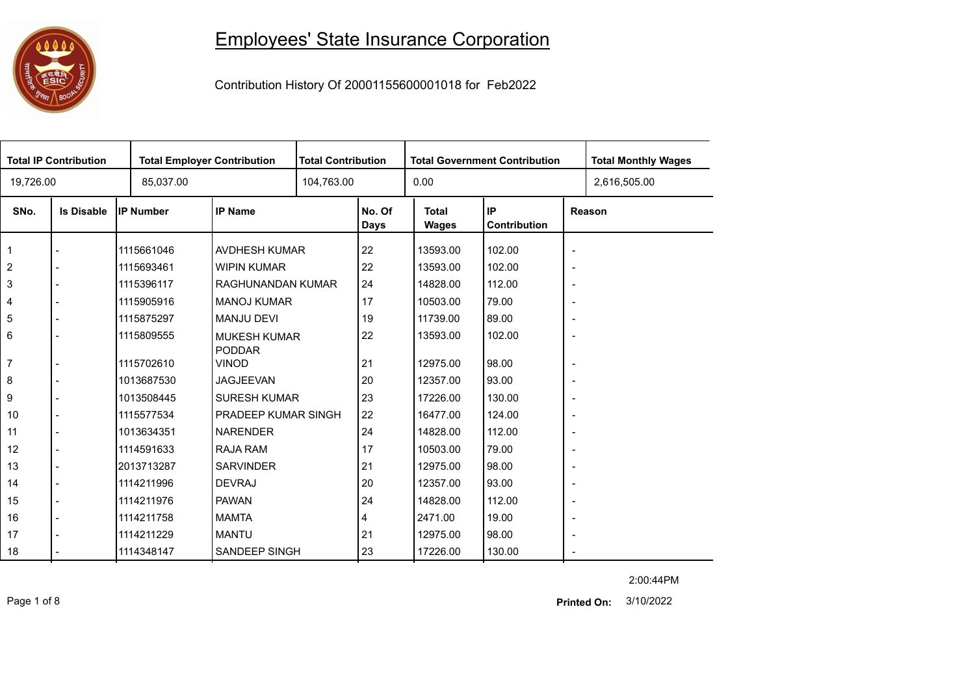## 0000

## Employees' State Insurance Corporation

Contribution History Of 20001155600001018 for Feb2022

| <b>Total IP Contribution</b> |                   |                  | <b>Total Employer Contribution</b>   |  | <b>Total Contribution</b><br><b>Total Government Contribution</b> |                              |                    |                          | <b>Total Monthly Wages</b> |
|------------------------------|-------------------|------------------|--------------------------------------|--|-------------------------------------------------------------------|------------------------------|--------------------|--------------------------|----------------------------|
| 19,726.00                    |                   | 85,037.00        |                                      |  |                                                                   | 0.00                         |                    |                          | 2,616,505.00               |
| SNo.                         | <b>Is Disable</b> | <b>IP Number</b> | <b>IP Name</b>                       |  | No. Of<br>Days                                                    | <b>Total</b><br><b>Wages</b> | IP<br>Contribution |                          | Reason                     |
| 1                            |                   | 1115661046       | AVDHESH KUMAR                        |  | 22                                                                | 13593.00                     | 102.00             | $\overline{\phantom{a}}$ |                            |
| $\overline{2}$               |                   | 1115693461       | <b>WIPIN KUMAR</b>                   |  | 22                                                                | 13593.00                     | 102.00             | $\overline{\phantom{a}}$ |                            |
| 3                            |                   | 1115396117       | RAGHUNANDAN KUMAR                    |  | 24                                                                | 14828.00                     | 112.00             | $\overline{\phantom{a}}$ |                            |
| 4                            |                   | 1115905916       | <b>MANOJ KUMAR</b>                   |  | 17                                                                | 10503.00                     | 79.00              | $\overline{\phantom{a}}$ |                            |
| 5                            |                   | 1115875297       | <b>MANJU DEVI</b>                    |  | 19                                                                | 11739.00                     | 89.00              | $\overline{\phantom{a}}$ |                            |
| 6                            |                   | 1115809555       | <b>MUKESH KUMAR</b><br><b>PODDAR</b> |  | 22                                                                | 13593.00                     | 102.00             | $\overline{\phantom{a}}$ |                            |
| 7                            |                   | 1115702610       | VINOD                                |  | 21                                                                | 12975.00                     | 98.00              | $\overline{\phantom{a}}$ |                            |
| 8                            |                   | 1013687530       | <b>JAGJEEVAN</b>                     |  | 20                                                                | 12357.00                     | 93.00              | $\overline{\phantom{a}}$ |                            |
| 9                            |                   | 1013508445       | <b>SURESH KUMAR</b>                  |  | 23                                                                | 17226.00                     | 130.00             | $\overline{\phantom{a}}$ |                            |
| 10                           |                   | 1115577534       | PRADEEP KUMAR SINGH                  |  | 22                                                                | 16477.00                     | 124.00             | $\overline{\phantom{a}}$ |                            |
| 11                           |                   | 1013634351       | <b>NARENDER</b>                      |  | 24                                                                | 14828.00                     | 112.00             | $\overline{\phantom{a}}$ |                            |
| 12                           |                   | 1114591633       | <b>RAJA RAM</b>                      |  | 17                                                                | 10503.00                     | 79.00              | $\overline{\phantom{a}}$ |                            |
| 13                           |                   | 2013713287       | <b>SARVINDER</b>                     |  | 21                                                                | 12975.00                     | 98.00              | $\overline{\phantom{a}}$ |                            |
| 14                           |                   | 1114211996       | <b>DEVRAJ</b>                        |  | 20                                                                | 12357.00                     | 93.00              | $\overline{\phantom{a}}$ |                            |
| 15                           |                   | 1114211976       | <b>PAWAN</b>                         |  | 24                                                                | 14828.00                     | 112.00             | $\overline{\phantom{a}}$ |                            |
| 16                           |                   | 1114211758       | <b>MAMTA</b>                         |  | 4                                                                 | 2471.00                      | 19.00              | $\overline{\phantom{a}}$ |                            |
| 17                           |                   | 1114211229       | <b>MANTU</b>                         |  | 21                                                                | 12975.00                     | 98.00              | $\overline{\phantom{a}}$ |                            |
| 18                           |                   | 1114348147       | SANDEEP SINGH                        |  | 23                                                                | 17226.00                     | 130.00             |                          |                            |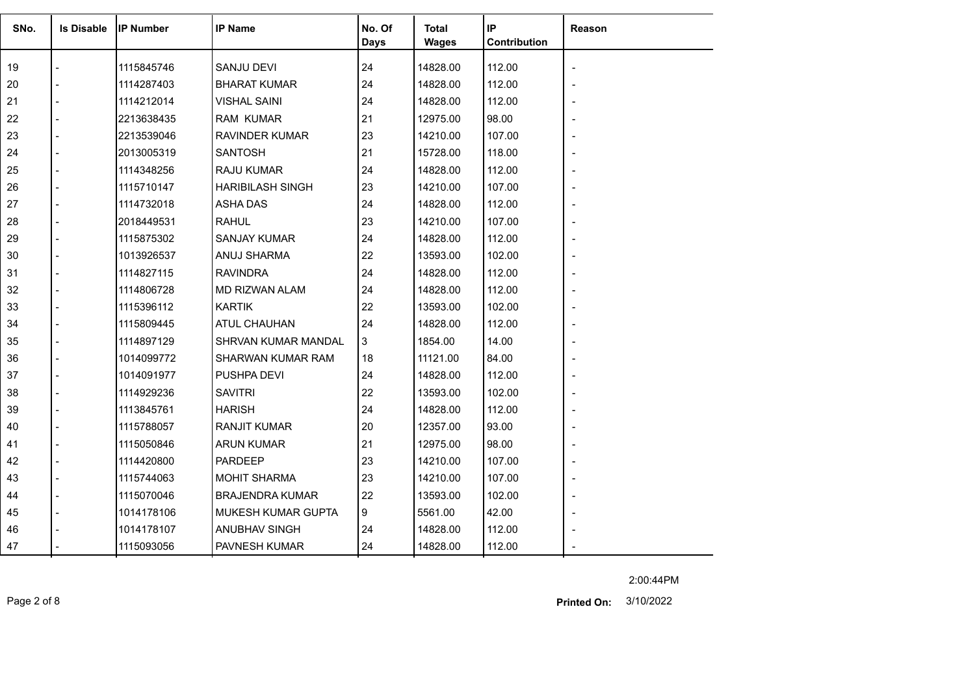| SNo. | <b>Is Disable</b> | <b>IP Number</b> | <b>IP Name</b>          | No. Of<br><b>Days</b> | <b>Total</b><br><b>Wages</b> | IP<br>Contribution | Reason |
|------|-------------------|------------------|-------------------------|-----------------------|------------------------------|--------------------|--------|
| 19   |                   | 1115845746       | SANJU DEVI              | 24                    | 14828.00                     | 112.00             |        |
| 20   |                   | 1114287403       | <b>BHARAT KUMAR</b>     | 24                    | 14828.00                     | 112.00             |        |
| 21   |                   | 1114212014       | <b>VISHAL SAINI</b>     | 24                    | 14828.00                     | 112.00             |        |
| 22   |                   | 2213638435       | <b>RAM KUMAR</b>        | 21                    | 12975.00                     | 98.00              |        |
| 23   |                   | 2213539046       | RAVINDER KUMAR          | 23                    | 14210.00                     | 107.00             |        |
| 24   |                   | 2013005319       | <b>SANTOSH</b>          | 21                    | 15728.00                     | 118.00             |        |
| 25   |                   | 1114348256       | RAJU KUMAR              | 24                    | 14828.00                     | 112.00             |        |
| 26   | $\overline{a}$    | 1115710147       | <b>HARIBILASH SINGH</b> | 23                    | 14210.00                     | 107.00             |        |
| 27   |                   | 1114732018       | <b>ASHA DAS</b>         | 24                    | 14828.00                     | 112.00             |        |
| 28   |                   | 2018449531       | <b>RAHUL</b>            | 23                    | 14210.00                     | 107.00             |        |
| 29   |                   | 1115875302       | <b>SANJAY KUMAR</b>     | 24                    | 14828.00                     | 112.00             |        |
| 30   |                   | 1013926537       | ANUJ SHARMA             | 22                    | 13593.00                     | 102.00             |        |
| 31   |                   | 1114827115       | <b>RAVINDRA</b>         | 24                    | 14828.00                     | 112.00             |        |
| 32   |                   | 1114806728       | MD RIZWAN ALAM          | 24                    | 14828.00                     | 112.00             |        |
| 33   |                   | 1115396112       | <b>KARTIK</b>           | 22                    | 13593.00                     | 102.00             |        |
| 34   |                   | 1115809445       | <b>ATUL CHAUHAN</b>     | 24                    | 14828.00                     | 112.00             |        |
| 35   |                   | 1114897129       | SHRVAN KUMAR MANDAL     | 3                     | 1854.00                      | 14.00              |        |
| 36   |                   | 1014099772       | SHARWAN KUMAR RAM       | 18                    | 11121.00                     | 84.00              |        |
| 37   |                   | 1014091977       | <b>PUSHPA DEVI</b>      | 24                    | 14828.00                     | 112.00             |        |
| 38   |                   | 1114929236       | <b>SAVITRI</b>          | 22                    | 13593.00                     | 102.00             |        |
| 39   |                   | 1113845761       | <b>HARISH</b>           | 24                    | 14828.00                     | 112.00             |        |
| 40   |                   | 1115788057       | <b>RANJIT KUMAR</b>     | 20                    | 12357.00                     | 93.00              |        |
| 41   |                   | 1115050846       | <b>ARUN KUMAR</b>       | 21                    | 12975.00                     | 98.00              |        |
| 42   |                   | 1114420800       | <b>PARDEEP</b>          | 23                    | 14210.00                     | 107.00             |        |
| 43   |                   | 1115744063       | <b>MOHIT SHARMA</b>     | 23                    | 14210.00                     | 107.00             |        |
| 44   |                   | 1115070046       | <b>BRAJENDRA KUMAR</b>  | 22                    | 13593.00                     | 102.00             |        |
| 45   |                   | 1014178106       | MUKESH KUMAR GUPTA      | 9                     | 5561.00                      | 42.00              |        |
| 46   |                   | 1014178107       | ANUBHAV SINGH           | 24                    | 14828.00                     | 112.00             |        |
| 47   |                   | 1115093056       | PAVNESH KUMAR           | 24                    | 14828.00                     | 112.00             |        |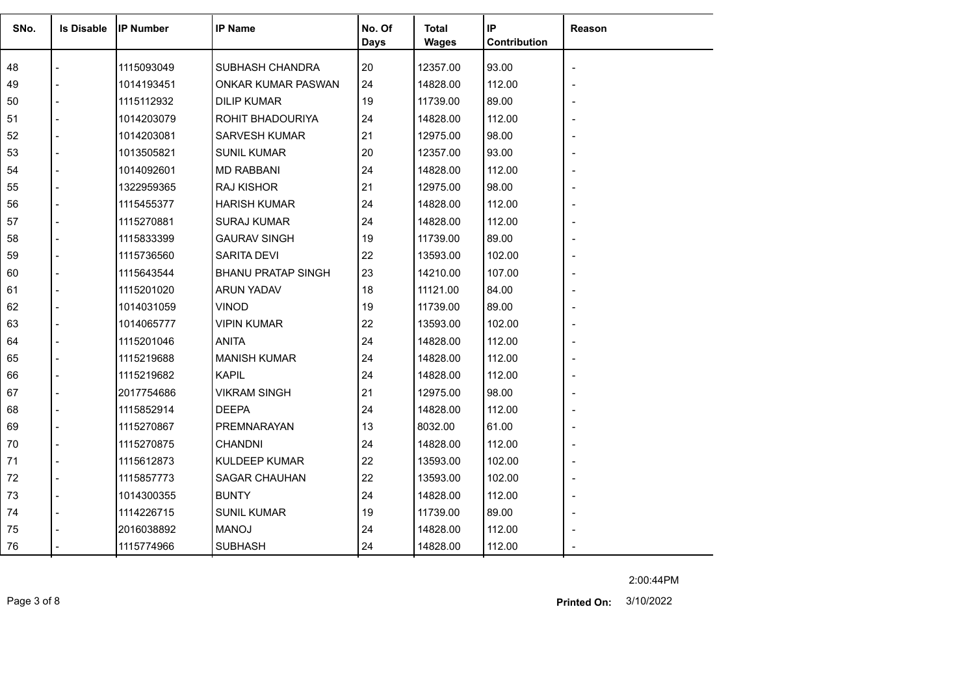| SNo. | <b>Is Disable</b> | <b>IIP Number</b> | <b>IP Name</b>            | No. Of<br><b>Days</b> | <b>Total</b><br><b>Wages</b> | IP<br>Contribution | Reason |
|------|-------------------|-------------------|---------------------------|-----------------------|------------------------------|--------------------|--------|
| 48   |                   | 1115093049        | SUBHASH CHANDRA           | 20                    | 12357.00                     | 93.00              |        |
| 49   |                   | 1014193451        | ONKAR KUMAR PASWAN        | 24                    | 14828.00                     | 112.00             |        |
| 50   |                   | 1115112932        | <b>DILIP KUMAR</b>        | 19                    | 11739.00                     | 89.00              |        |
| 51   |                   | 1014203079        | ROHIT BHADOURIYA          | 24                    | 14828.00                     | 112.00             |        |
| 52   |                   | 1014203081        | <b>SARVESH KUMAR</b>      | 21                    | 12975.00                     | 98.00              |        |
| 53   |                   | 1013505821        | <b>SUNIL KUMAR</b>        | 20                    | 12357.00                     | 93.00              |        |
| 54   |                   | 1014092601        | <b>MD RABBANI</b>         | 24                    | 14828.00                     | 112.00             |        |
| 55   |                   | 1322959365        | <b>RAJ KISHOR</b>         | 21                    | 12975.00                     | 98.00              |        |
| 56   |                   | 1115455377        | <b>HARISH KUMAR</b>       | 24                    | 14828.00                     | 112.00             |        |
| 57   |                   | 1115270881        | <b>SURAJ KUMAR</b>        | 24                    | 14828.00                     | 112.00             |        |
| 58   |                   | 1115833399        | <b>GAURAV SINGH</b>       | 19                    | 11739.00                     | 89.00              |        |
| 59   |                   | 1115736560        | <b>SARITA DEVI</b>        | 22                    | 13593.00                     | 102.00             |        |
| 60   |                   | 1115643544        | <b>BHANU PRATAP SINGH</b> | 23                    | 14210.00                     | 107.00             |        |
| 61   |                   | 1115201020        | <b>ARUN YADAV</b>         | 18                    | 11121.00                     | 84.00              |        |
| 62   |                   | 1014031059        | <b>VINOD</b>              | 19                    | 11739.00                     | 89.00              |        |
| 63   |                   | 1014065777        | <b>VIPIN KUMAR</b>        | 22                    | 13593.00                     | 102.00             |        |
| 64   |                   | 1115201046        | <b>ANITA</b>              | 24                    | 14828.00                     | 112.00             |        |
| 65   |                   | 1115219688        | <b>MANISH KUMAR</b>       | 24                    | 14828.00                     | 112.00             |        |
| 66   |                   | 1115219682        | <b>KAPIL</b>              | 24                    | 14828.00                     | 112.00             |        |
| 67   |                   | 2017754686        | <b>VIKRAM SINGH</b>       | 21                    | 12975.00                     | 98.00              |        |
| 68   |                   | 1115852914        | <b>DEEPA</b>              | 24                    | 14828.00                     | 112.00             |        |
| 69   |                   | 1115270867        | PREMNARAYAN               | 13                    | 8032.00                      | 61.00              |        |
| 70   |                   | 1115270875        | <b>CHANDNI</b>            | 24                    | 14828.00                     | 112.00             |        |
| 71   |                   | 1115612873        | <b>KULDEEP KUMAR</b>      | 22                    | 13593.00                     | 102.00             |        |
| 72   |                   | 1115857773        | <b>SAGAR CHAUHAN</b>      | 22                    | 13593.00                     | 102.00             |        |
| 73   |                   | 1014300355        | <b>BUNTY</b>              | 24                    | 14828.00                     | 112.00             |        |
| 74   |                   | 1114226715        | <b>SUNIL KUMAR</b>        | 19                    | 11739.00                     | 89.00              |        |
| 75   |                   | 2016038892        | <b>MANOJ</b>              | 24                    | 14828.00                     | 112.00             |        |
| 76   |                   | 1115774966        | <b>SUBHASH</b>            | 24                    | 14828.00                     | 112.00             |        |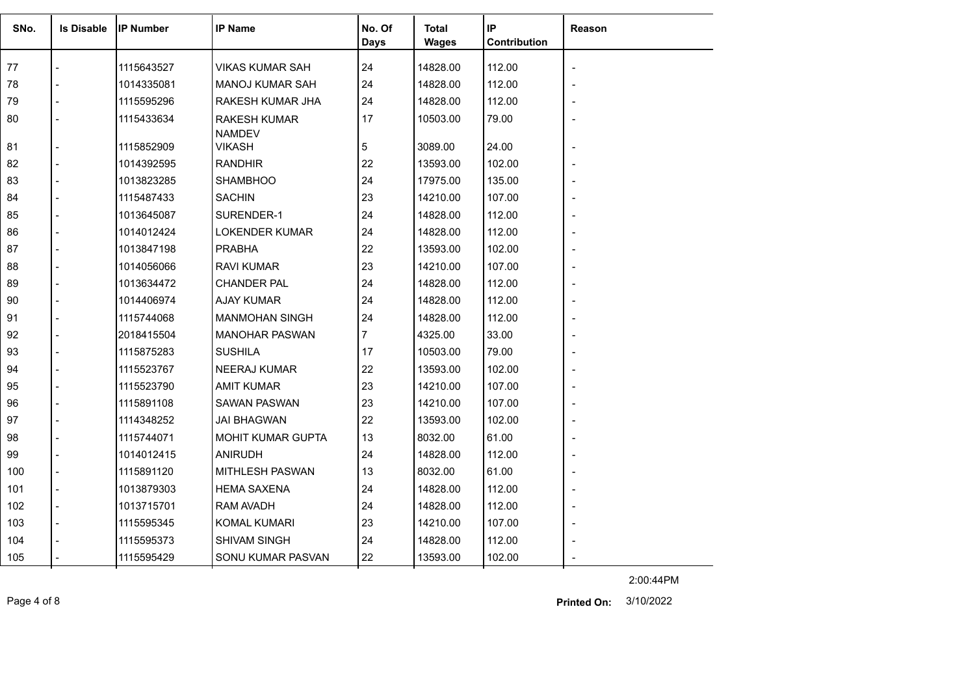| SNo. | <b>Is Disable</b> | <b>IP Number</b> | <b>IP Name</b>           | No. Of         | <b>Total</b> | IP           | <b>Reason</b> |
|------|-------------------|------------------|--------------------------|----------------|--------------|--------------|---------------|
|      |                   |                  |                          | Days           | <b>Wages</b> | Contribution |               |
| 77   |                   | 1115643527       | VIKAS KUMAR SAH          | 24             | 14828.00     | 112.00       |               |
| 78   |                   | 1014335081       | <b>MANOJ KUMAR SAH</b>   | 24             | 14828.00     | 112.00       |               |
| 79   |                   | 1115595296       | RAKESH KUMAR JHA         | 24             | 14828.00     | 112.00       |               |
| 80   |                   | 1115433634       | RAKESH KUMAR             | 17             | 10503.00     | 79.00        |               |
|      |                   |                  | <b>NAMDEV</b>            |                |              |              |               |
| 81   |                   | 1115852909       | <b>VIKASH</b>            | 5              | 3089.00      | 24.00        |               |
| 82   |                   | 1014392595       | <b>RANDHIR</b>           | 22             | 13593.00     | 102.00       |               |
| 83   |                   | 1013823285       | <b>SHAMBHOO</b>          | 24             | 17975.00     | 135.00       |               |
| 84   |                   | 1115487433       | <b>SACHIN</b>            | 23             | 14210.00     | 107.00       |               |
| 85   |                   | 1013645087       | SURENDER-1               | 24             | 14828.00     | 112.00       |               |
| 86   |                   | 1014012424       | <b>LOKENDER KUMAR</b>    | 24             | 14828.00     | 112.00       |               |
| 87   |                   | 1013847198       | <b>PRABHA</b>            | 22             | 13593.00     | 102.00       |               |
| 88   |                   | 1014056066       | <b>RAVI KUMAR</b>        | 23             | 14210.00     | 107.00       |               |
| 89   |                   | 1013634472       | <b>CHANDER PAL</b>       | 24             | 14828.00     | 112.00       |               |
| 90   |                   | 1014406974       | <b>AJAY KUMAR</b>        | 24             | 14828.00     | 112.00       |               |
| 91   |                   | 1115744068       | <b>MANMOHAN SINGH</b>    | 24             | 14828.00     | 112.00       |               |
| 92   |                   | 2018415504       | <b>MANOHAR PASWAN</b>    | $\overline{7}$ | 4325.00      | 33.00        |               |
| 93   |                   | 1115875283       | <b>SUSHILA</b>           | 17             | 10503.00     | 79.00        |               |
| 94   |                   | 1115523767       | <b>NEERAJ KUMAR</b>      | 22             | 13593.00     | 102.00       |               |
| 95   |                   | 1115523790       | <b>AMIT KUMAR</b>        | 23             | 14210.00     | 107.00       |               |
| 96   |                   | 1115891108       | <b>SAWAN PASWAN</b>      | 23             | 14210.00     | 107.00       |               |
| 97   |                   | 1114348252       | <b>JAI BHAGWAN</b>       | 22             | 13593.00     | 102.00       |               |
| 98   |                   | 1115744071       | <b>MOHIT KUMAR GUPTA</b> | 13             | 8032.00      | 61.00        |               |
| 99   |                   | 1014012415       | <b>ANIRUDH</b>           | 24             | 14828.00     | 112.00       |               |
| 100  |                   | 1115891120       | <b>MITHLESH PASWAN</b>   | 13             | 8032.00      | 61.00        |               |
| 101  |                   | 1013879303       | <b>HEMA SAXENA</b>       | 24             | 14828.00     | 112.00       |               |
| 102  |                   | 1013715701       | <b>RAM AVADH</b>         | 24             | 14828.00     | 112.00       |               |
| 103  |                   | 1115595345       | <b>KOMAL KUMARI</b>      | 23             | 14210.00     | 107.00       |               |
| 104  |                   | 1115595373       | <b>SHIVAM SINGH</b>      | 24             | 14828.00     | 112.00       |               |
| 105  |                   | 1115595429       | SONU KUMAR PASVAN        | 22             | 13593.00     | 102.00       |               |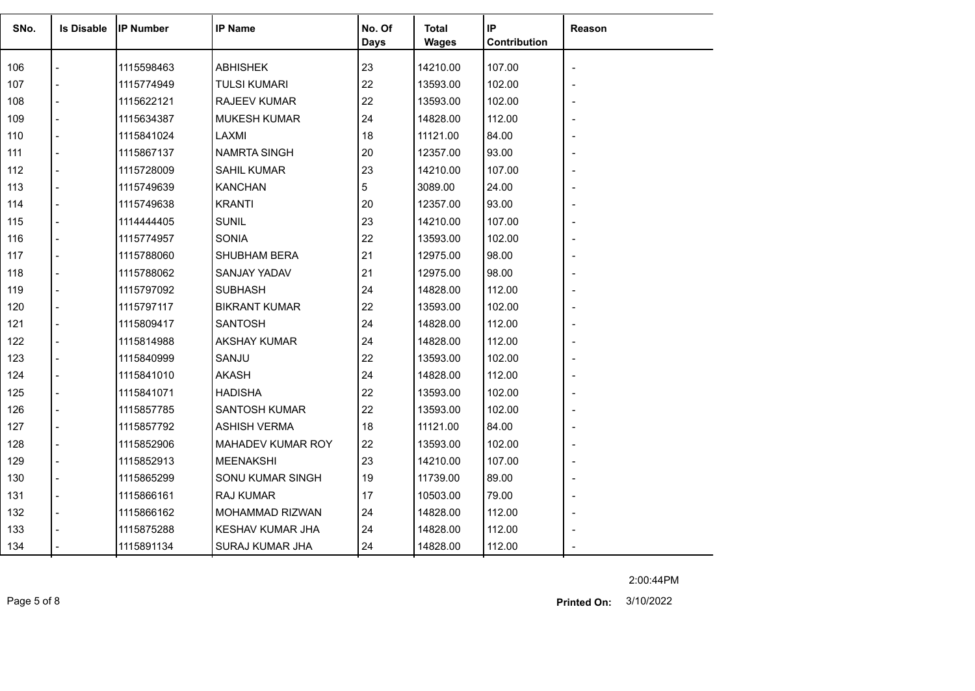| SNo. | <b>Is Disable</b> | <b>IP Number</b> | <b>IP Name</b>          | No. Of<br><b>Days</b> | <b>Total</b><br><b>Wages</b> | IP<br>Contribution | Reason         |
|------|-------------------|------------------|-------------------------|-----------------------|------------------------------|--------------------|----------------|
| 106  |                   | 1115598463       | <b>ABHISHEK</b>         | 23                    | 14210.00                     | 107.00             |                |
| 107  |                   | 1115774949       | <b>TULSI KUMARI</b>     | 22                    | 13593.00                     | 102.00             |                |
| 108  |                   | 1115622121       | <b>RAJEEV KUMAR</b>     | 22                    | 13593.00                     | 102.00             |                |
| 109  |                   | 1115634387       | <b>MUKESH KUMAR</b>     | 24                    | 14828.00                     | 112.00             |                |
| 110  |                   | 1115841024       | LAXMI                   | 18                    | 11121.00                     | 84.00              |                |
| 111  |                   | 1115867137       | <b>NAMRTA SINGH</b>     | 20                    | 12357.00                     | 93.00              |                |
| 112  |                   | 1115728009       | <b>SAHIL KUMAR</b>      | 23                    | 14210.00                     | 107.00             |                |
| 113  |                   | 1115749639       | <b>KANCHAN</b>          | 5                     | 3089.00                      | 24.00              |                |
| 114  |                   | 1115749638       | <b>KRANTI</b>           | 20                    | 12357.00                     | 93.00              |                |
| 115  |                   | 1114444405       | <b>SUNIL</b>            | 23                    | 14210.00                     | 107.00             |                |
| 116  |                   | 1115774957       | SONIA                   | 22                    | 13593.00                     | 102.00             |                |
| 117  |                   | 1115788060       | <b>SHUBHAM BERA</b>     | 21                    | 12975.00                     | 98.00              |                |
| 118  |                   | 1115788062       | <b>SANJAY YADAV</b>     | 21                    | 12975.00                     | 98.00              |                |
| 119  |                   | 1115797092       | <b>SUBHASH</b>          | 24                    | 14828.00                     | 112.00             |                |
| 120  |                   | 1115797117       | <b>BIKRANT KUMAR</b>    | 22                    | 13593.00                     | 102.00             |                |
| 121  |                   | 1115809417       | <b>SANTOSH</b>          | 24                    | 14828.00                     | 112.00             |                |
| 122  |                   | 1115814988       | <b>AKSHAY KUMAR</b>     | 24                    | 14828.00                     | 112.00             |                |
| 123  |                   | 1115840999       | SANJU                   | 22                    | 13593.00                     | 102.00             |                |
| 124  |                   | 1115841010       | <b>AKASH</b>            | 24                    | 14828.00                     | 112.00             |                |
| 125  |                   | 1115841071       | <b>HADISHA</b>          | 22                    | 13593.00                     | 102.00             |                |
| 126  |                   | 1115857785       | SANTOSH KUMAR           | 22                    | 13593.00                     | 102.00             |                |
| 127  |                   | 1115857792       | <b>ASHISH VERMA</b>     | 18                    | 11121.00                     | 84.00              |                |
| 128  |                   | 1115852906       | MAHADEV KUMAR ROY       | 22                    | 13593.00                     | 102.00             |                |
| 129  |                   | 1115852913       | <b>MEENAKSHI</b>        | 23                    | 14210.00                     | 107.00             |                |
| 130  |                   | 1115865299       | SONU KUMAR SINGH        | 19                    | 11739.00                     | 89.00              |                |
| 131  |                   | 1115866161       | <b>RAJ KUMAR</b>        | 17                    | 10503.00                     | 79.00              | $\blacksquare$ |
| 132  |                   | 1115866162       | MOHAMMAD RIZWAN         | 24                    | 14828.00                     | 112.00             |                |
| 133  |                   | 1115875288       | <b>KESHAV KUMAR JHA</b> | 24                    | 14828.00                     | 112.00             |                |
| 134  |                   | 1115891134       | SURAJ KUMAR JHA         | 24                    | 14828.00                     | 112.00             |                |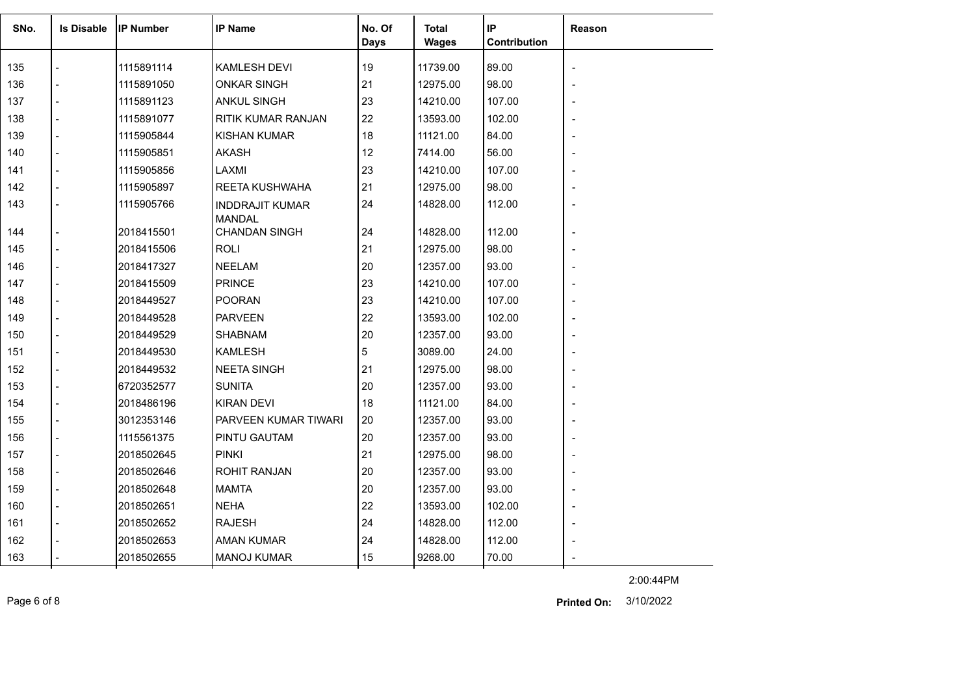| SNo. | <b>Is Disable</b>        | <b>IP Number</b> | <b>IP Name</b>                        | No. Of      | <b>Total</b> | IP           | Reason                   |
|------|--------------------------|------------------|---------------------------------------|-------------|--------------|--------------|--------------------------|
|      |                          |                  |                                       | <b>Days</b> | <b>Wages</b> | Contribution |                          |
| 135  |                          | 1115891114       | KAMLESH DEVI                          | 19          | 11739.00     | 89.00        | $\overline{\phantom{a}}$ |
| 136  | $\overline{a}$           | 1115891050       | <b>ONKAR SINGH</b>                    | 21          | 12975.00     | 98.00        |                          |
| 137  | $\blacksquare$           | 1115891123       | <b>ANKUL SINGH</b>                    | 23          | 14210.00     | 107.00       |                          |
| 138  |                          | 1115891077       | RITIK KUMAR RANJAN                    | 22          | 13593.00     | 102.00       |                          |
| 139  | $\blacksquare$           | 1115905844       | <b>KISHAN KUMAR</b>                   | 18          | 11121.00     | 84.00        |                          |
| 140  | $\overline{a}$           | 1115905851       | <b>AKASH</b>                          | 12          | 7414.00      | 56.00        |                          |
| 141  | $\blacksquare$           | 1115905856       | LAXMI                                 | 23          | 14210.00     | 107.00       |                          |
| 142  | $\overline{\phantom{a}}$ | 1115905897       | REETA KUSHWAHA                        | 21          | 12975.00     | 98.00        | $\overline{\phantom{a}}$ |
| 143  | $\overline{a}$           | 1115905766       | <b>INDDRAJIT KUMAR</b>                | 24          | 14828.00     | 112.00       | $\overline{\phantom{a}}$ |
| 144  |                          | 2018415501       | <b>MANDAL</b><br><b>CHANDAN SINGH</b> | 24          | 14828.00     | 112.00       | $\overline{\phantom{a}}$ |
| 145  | $\overline{\phantom{a}}$ | 2018415506       | <b>ROLI</b>                           | 21          | 12975.00     | 98.00        |                          |
| 146  | $\overline{\phantom{a}}$ | 2018417327       | <b>NEELAM</b>                         | 20          | 12357.00     | 93.00        |                          |
| 147  |                          | 2018415509       | <b>PRINCE</b>                         | 23          | 14210.00     | 107.00       |                          |
| 148  | $\overline{\phantom{a}}$ | 2018449527       | <b>POORAN</b>                         | 23          | 14210.00     | 107.00       |                          |
| 149  | $\overline{\phantom{a}}$ | 2018449528       | <b>PARVEEN</b>                        | 22          | 13593.00     | 102.00       |                          |
| 150  |                          | 2018449529       | <b>SHABNAM</b>                        | 20          | 12357.00     | 93.00        |                          |
| 151  |                          | 2018449530       | <b>KAMLESH</b>                        | 5           | 3089.00      | 24.00        | $\overline{\phantom{a}}$ |
| 152  | $\blacksquare$           | 2018449532       | <b>NEETA SINGH</b>                    | 21          | 12975.00     | 98.00        | $\overline{\phantom{a}}$ |
| 153  | $\blacksquare$           | 6720352577       | <b>SUNITA</b>                         | 20          | 12357.00     | 93.00        | $\overline{\phantom{a}}$ |
| 154  |                          | 2018486196       | <b>KIRAN DEVI</b>                     | 18          | 11121.00     | 84.00        |                          |
| 155  |                          | 3012353146       | PARVEEN KUMAR TIWARI                  | 20          | 12357.00     | 93.00        |                          |
| 156  |                          | 1115561375       | PINTU GAUTAM                          | 20          | 12357.00     | 93.00        |                          |
| 157  | $\blacksquare$           | 2018502645       | <b>PINKI</b>                          | 21          | 12975.00     | 98.00        |                          |
| 158  |                          | 2018502646       | <b>ROHIT RANJAN</b>                   | 20          | 12357.00     | 93.00        |                          |
| 159  | $\blacksquare$           | 2018502648       | <b>MAMTA</b>                          | 20          | 12357.00     | 93.00        |                          |
| 160  | $\blacksquare$           | 2018502651       | <b>NEHA</b>                           | 22          | 13593.00     | 102.00       | $\overline{\phantom{a}}$ |
| 161  | $\overline{a}$           | 2018502652       | <b>RAJESH</b>                         | 24          | 14828.00     | 112.00       |                          |
| 162  |                          | 2018502653       | <b>AMAN KUMAR</b>                     | 24          | 14828.00     | 112.00       |                          |
| 163  |                          | 2018502655       | <b>MANOJ KUMAR</b>                    | 15          | 9268.00      | 70.00        | $\overline{a}$           |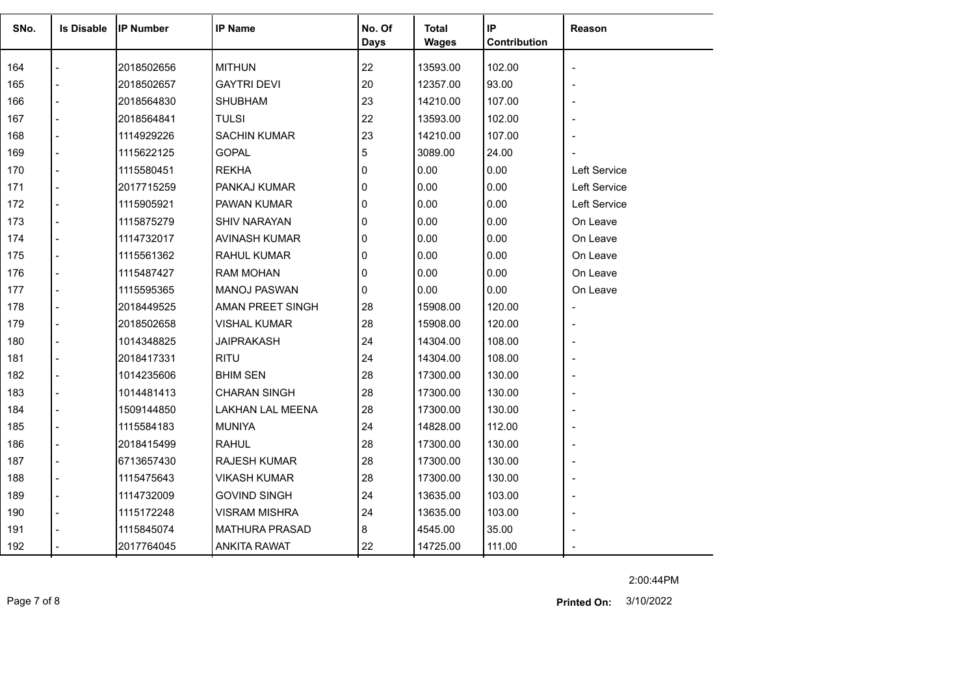| SNo. | <b>Is Disable</b>        | <b>IP Number</b> | <b>IP Name</b>        | No. Of<br><b>Days</b> | <b>Total</b><br><b>Wages</b> | IP<br>Contribution | Reason                   |
|------|--------------------------|------------------|-----------------------|-----------------------|------------------------------|--------------------|--------------------------|
| 164  |                          | 2018502656       | <b>MITHUN</b>         | 22                    | 13593.00                     | 102.00             | $\frac{1}{2}$            |
|      |                          |                  |                       | 20                    |                              |                    |                          |
| 165  |                          | 2018502657       | <b>GAYTRI DEVI</b>    |                       | 12357.00                     | 93.00              |                          |
| 166  |                          | 2018564830       | <b>SHUBHAM</b>        | 23                    | 14210.00                     | 107.00             | $\overline{a}$           |
| 167  |                          | 2018564841       | <b>TULSI</b>          | 22                    | 13593.00                     | 102.00             |                          |
| 168  |                          | 1114929226       | <b>SACHIN KUMAR</b>   | 23                    | 14210.00                     | 107.00             |                          |
| 169  |                          | 1115622125       | <b>GOPAL</b>          | 5                     | 3089.00                      | 24.00              |                          |
| 170  |                          | 1115580451       | <b>REKHA</b>          | 0                     | 0.00                         | 0.00               | Left Service             |
| 171  | $\overline{a}$           | 2017715259       | PANKAJ KUMAR          | 0                     | 0.00                         | 0.00               | Left Service             |
| 172  |                          | 1115905921       | PAWAN KUMAR           | 0                     | 0.00                         | 0.00               | Left Service             |
| 173  |                          | 1115875279       | <b>SHIV NARAYAN</b>   | 0                     | 0.00                         | 0.00               | On Leave                 |
| 174  |                          | 1114732017       | <b>AVINASH KUMAR</b>  | 0                     | 0.00                         | 0.00               | On Leave                 |
| 175  |                          | 1115561362       | <b>RAHUL KUMAR</b>    | 0                     | 0.00                         | 0.00               | On Leave                 |
| 176  |                          | 1115487427       | <b>RAM MOHAN</b>      | 0                     | 0.00                         | 0.00               | On Leave                 |
| 177  |                          | 1115595365       | <b>MANOJ PASWAN</b>   | 0                     | 0.00                         | 0.00               | On Leave                 |
| 178  |                          | 2018449525       | AMAN PREET SINGH      | 28                    | 15908.00                     | 120.00             | $\overline{\phantom{a}}$ |
| 179  |                          | 2018502658       | <b>VISHAL KUMAR</b>   | 28                    | 15908.00                     | 120.00             | $\overline{\phantom{0}}$ |
| 180  |                          | 1014348825       | <b>JAIPRAKASH</b>     | 24                    | 14304.00                     | 108.00             |                          |
| 181  |                          | 2018417331       | <b>RITU</b>           | 24                    | 14304.00                     | 108.00             | $\overline{\phantom{0}}$ |
| 182  |                          | 1014235606       | <b>BHIM SEN</b>       | 28                    | 17300.00                     | 130.00             | $\overline{a}$           |
| 183  |                          | 1014481413       | <b>CHARAN SINGH</b>   | 28                    | 17300.00                     | 130.00             | $\overline{a}$           |
| 184  |                          | 1509144850       | LAKHAN LAL MEENA      | 28                    | 17300.00                     | 130.00             |                          |
| 185  |                          | 1115584183       | <b>MUNIYA</b>         | 24                    | 14828.00                     | 112.00             |                          |
| 186  |                          | 2018415499       | <b>RAHUL</b>          | 28                    | 17300.00                     | 130.00             |                          |
| 187  |                          | 6713657430       | <b>RAJESH KUMAR</b>   | 28                    | 17300.00                     | 130.00             | $\overline{\phantom{0}}$ |
| 188  |                          | 1115475643       | <b>VIKASH KUMAR</b>   | 28                    | 17300.00                     | 130.00             |                          |
| 189  | $\overline{\phantom{a}}$ | 1114732009       | <b>GOVIND SINGH</b>   | 24                    | 13635.00                     | 103.00             | $\overline{\phantom{0}}$ |
| 190  |                          | 1115172248       | <b>VISRAM MISHRA</b>  | 24                    | 13635.00                     | 103.00             |                          |
| 191  |                          | 1115845074       | <b>MATHURA PRASAD</b> | 8                     | 4545.00                      | 35.00              |                          |
| 192  |                          | 2017764045       | <b>ANKITA RAWAT</b>   | 22                    | 14725.00                     | 111.00             |                          |